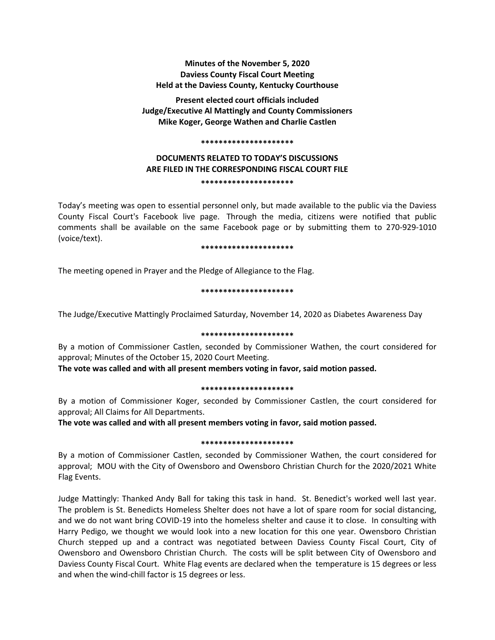# **Minutes of the November 5, 2020 Daviess County Fiscal Court Meeting Held at the Daviess County, Kentucky Courthouse**

**Present elected court officials included Judge/Executive Al Mattingly and County Commissioners Mike Koger, George Wathen and Charlie Castlen**

#### **\*\*\*\*\*\*\*\*\*\*\*\*\*\*\*\*\*\*\*\*\***

# **DOCUMENTS RELATED TO TODAY'S DISCUSSIONS ARE FILED IN THE CORRESPONDING FISCAL COURT FILE \*\*\*\*\*\*\*\*\*\*\*\*\*\*\*\*\*\*\*\*\***

Today's meeting was open to essential personnel only, but made available to the public via the Daviess County Fiscal Court's Facebook live page. Through the media, citizens were notified that public comments shall be available on the same Facebook page or by submitting them to 270-929-1010 (voice/text).

#### **\*\*\*\*\*\*\*\*\*\*\*\*\*\*\*\*\*\*\*\*\***

The meeting opened in Prayer and the Pledge of Allegiance to the Flag.

### **\*\*\*\*\*\*\*\*\*\*\*\*\*\*\*\*\*\*\*\*\***

The Judge/Executive Mattingly Proclaimed Saturday, November 14, 2020 as Diabetes Awareness Day

### **\*\*\*\*\*\*\*\*\*\*\*\*\*\*\*\*\*\*\*\*\***

By a motion of Commissioner Castlen, seconded by Commissioner Wathen, the court considered for approval; Minutes of the October 15, 2020 Court Meeting.

**The vote was called and with all present members voting in favor, said motion passed.** 

### **\*\*\*\*\*\*\*\*\*\*\*\*\*\*\*\*\*\*\*\*\***

By a motion of Commissioner Koger, seconded by Commissioner Castlen, the court considered for approval; All Claims for All Departments.

**The vote was called and with all present members voting in favor, said motion passed.** 

### **\*\*\*\*\*\*\*\*\*\*\*\*\*\*\*\*\*\*\*\*\***

By a motion of Commissioner Castlen, seconded by Commissioner Wathen, the court considered for approval; MOU with the City of Owensboro and Owensboro Christian Church for the 2020/2021 White Flag Events.

Judge Mattingly: Thanked Andy Ball for taking this task in hand. St. Benedict's worked well last year. The problem is St. Benedicts Homeless Shelter does not have a lot of spare room for social distancing, and we do not want bring COVID-19 into the homeless shelter and cause it to close. In consulting with Harry Pedigo, we thought we would look into a new location for this one year. Owensboro Christian Church stepped up and a contract was negotiated between Daviess County Fiscal Court, City of Owensboro and Owensboro Christian Church. The costs will be split between City of Owensboro and Daviess County Fiscal Court. White Flag events are declared when the temperature is 15 degrees or less and when the wind-chill factor is 15 degrees or less.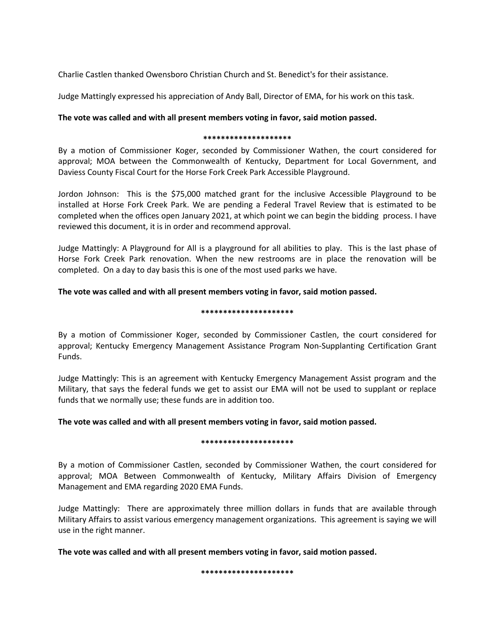Charlie Castlen thanked Owensboro Christian Church and St. Benedict's for their assistance.

Judge Mattingly expressed his appreciation of Andy Ball, Director of EMA, for his work on this task.

# **The vote was called and with all present members voting in favor, said motion passed.**

## **\*\*\*\*\*\*\*\*\*\*\*\*\*\*\*\*\*\*\*\***

By a motion of Commissioner Koger, seconded by Commissioner Wathen, the court considered for approval; MOA between the Commonwealth of Kentucky, Department for Local Government, and Daviess County Fiscal Court for the Horse Fork Creek Park Accessible Playground.

Jordon Johnson: This is the \$75,000 matched grant for the inclusive Accessible Playground to be installed at Horse Fork Creek Park. We are pending a Federal Travel Review that is estimated to be completed when the offices open January 2021, at which point we can begin the bidding process. I have reviewed this document, it is in order and recommend approval.

Judge Mattingly: A Playground for All is a playground for all abilities to play. This is the last phase of Horse Fork Creek Park renovation. When the new restrooms are in place the renovation will be completed. On a day to day basis this is one of the most used parks we have.

## **The vote was called and with all present members voting in favor, said motion passed.**

### **\*\*\*\*\*\*\*\*\*\*\*\*\*\*\*\*\*\*\*\*\***

By a motion of Commissioner Koger, seconded by Commissioner Castlen, the court considered for approval; Kentucky Emergency Management Assistance Program Non-Supplanting Certification Grant Funds.

Judge Mattingly: This is an agreement with Kentucky Emergency Management Assist program and the Military, that says the federal funds we get to assist our EMA will not be used to supplant or replace funds that we normally use; these funds are in addition too.

## **The vote was called and with all present members voting in favor, said motion passed.**

### **\*\*\*\*\*\*\*\*\*\*\*\*\*\*\*\*\*\*\*\*\***

By a motion of Commissioner Castlen, seconded by Commissioner Wathen, the court considered for approval; MOA Between Commonwealth of Kentucky, Military Affairs Division of Emergency Management and EMA regarding 2020 EMA Funds.

Judge Mattingly: There are approximately three million dollars in funds that are available through Military Affairs to assist various emergency management organizations. This agreement is saying we will use in the right manner.

**The vote was called and with all present members voting in favor, said motion passed.**

**\*\*\*\*\*\*\*\*\*\*\*\*\*\*\*\*\*\*\*\*\***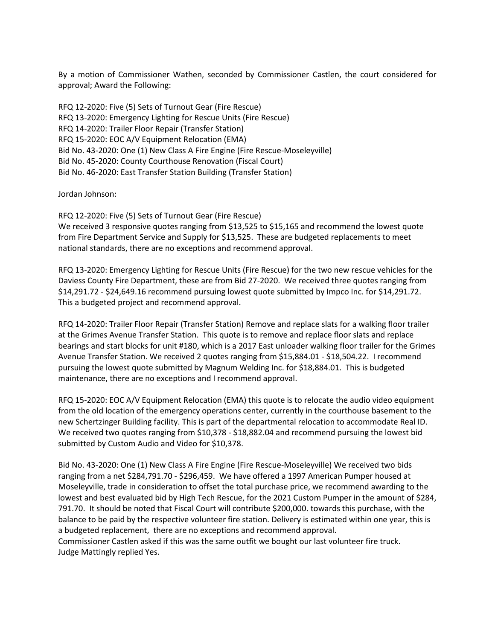By a motion of Commissioner Wathen, seconded by Commissioner Castlen, the court considered for approval; Award the Following:

RFQ 12-2020: Five (5) Sets of Turnout Gear (Fire Rescue) RFQ 13-2020: Emergency Lighting for Rescue Units (Fire Rescue) RFQ 14-2020: Trailer Floor Repair (Transfer Station) RFQ 15-2020: EOC A/V Equipment Relocation (EMA) Bid No. 43-2020: One (1) New Class A Fire Engine (Fire Rescue-Moseleyville) Bid No. 45-2020: County Courthouse Renovation (Fiscal Court) Bid No. 46-2020: East Transfer Station Building (Transfer Station)

Jordan Johnson:

RFQ 12-2020: Five (5) Sets of Turnout Gear (Fire Rescue) We received 3 responsive quotes ranging from \$13,525 to \$15,165 and recommend the lowest quote from Fire Department Service and Supply for \$13,525. These are budgeted replacements to meet national standards, there are no exceptions and recommend approval.

RFQ 13-2020: Emergency Lighting for Rescue Units (Fire Rescue) for the two new rescue vehicles for the Daviess County Fire Department, these are from Bid 27-2020. We received three quotes ranging from \$14,291.72 - \$24,649.16 recommend pursuing lowest quote submitted by Impco Inc. for \$14,291.72. This a budgeted project and recommend approval.

RFQ 14-2020: Trailer Floor Repair (Transfer Station) Remove and replace slats for a walking floor trailer at the Grimes Avenue Transfer Station. This quote is to remove and replace floor slats and replace bearings and start blocks for unit #180, which is a 2017 East unloader walking floor trailer for the Grimes Avenue Transfer Station. We received 2 quotes ranging from \$15,884.01 - \$18,504.22. I recommend pursuing the lowest quote submitted by Magnum Welding Inc. for \$18,884.01. This is budgeted maintenance, there are no exceptions and I recommend approval.

RFQ 15-2020: EOC A/V Equipment Relocation (EMA) this quote is to relocate the audio video equipment from the old location of the emergency operations center, currently in the courthouse basement to the new Schertzinger Building facility. This is part of the departmental relocation to accommodate Real ID. We received two quotes ranging from \$10,378 - \$18,882.04 and recommend pursuing the lowest bid submitted by Custom Audio and Video for \$10,378.

Bid No. 43-2020: One (1) New Class A Fire Engine (Fire Rescue-Moseleyville) We received two bids ranging from a net \$284,791.70 - \$296,459. We have offered a 1997 American Pumper housed at Moseleyville, trade in consideration to offset the total purchase price, we recommend awarding to the lowest and best evaluated bid by High Tech Rescue, for the 2021 Custom Pumper in the amount of \$284, 791.70. It should be noted that Fiscal Court will contribute \$200,000. towards this purchase, with the balance to be paid by the respective volunteer fire station. Delivery is estimated within one year, this is a budgeted replacement, there are no exceptions and recommend approval. Commissioner Castlen asked if this was the same outfit we bought our last volunteer fire truck. Judge Mattingly replied Yes.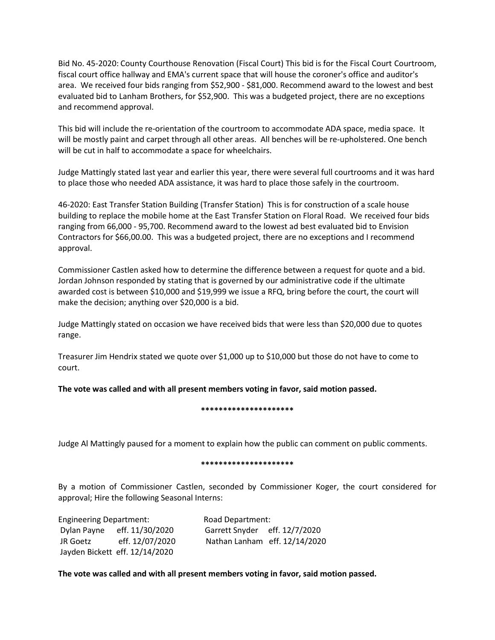Bid No. 45-2020: County Courthouse Renovation (Fiscal Court) This bid is for the Fiscal Court Courtroom, fiscal court office hallway and EMA's current space that will house the coroner's office and auditor's area. We received four bids ranging from \$52,900 - \$81,000. Recommend award to the lowest and best evaluated bid to Lanham Brothers, for \$52,900. This was a budgeted project, there are no exceptions and recommend approval.

This bid will include the re-orientation of the courtroom to accommodate ADA space, media space. It will be mostly paint and carpet through all other areas. All benches will be re-upholstered. One bench will be cut in half to accommodate a space for wheelchairs.

Judge Mattingly stated last year and earlier this year, there were several full courtrooms and it was hard to place those who needed ADA assistance, it was hard to place those safely in the courtroom.

46-2020: East Transfer Station Building (Transfer Station) This is for construction of a scale house building to replace the mobile home at the East Transfer Station on Floral Road. We received four bids ranging from 66,000 - 95,700. Recommend award to the lowest ad best evaluated bid to Envision Contractors for \$66,00.00. This was a budgeted project, there are no exceptions and I recommend approval.

Commissioner Castlen asked how to determine the difference between a request for quote and a bid. Jordan Johnson responded by stating that is governed by our administrative code if the ultimate awarded cost is between \$10,000 and \$19,999 we issue a RFQ, bring before the court, the court will make the decision; anything over \$20,000 is a bid.

Judge Mattingly stated on occasion we have received bids that were less than \$20,000 due to quotes range.

Treasurer Jim Hendrix stated we quote over \$1,000 up to \$10,000 but those do not have to come to court.

**The vote was called and with all present members voting in favor, said motion passed.**

**\*\*\*\*\*\*\*\*\*\*\*\*\*\*\*\*\*\*\*\*\***

Judge Al Mattingly paused for a moment to explain how the public can comment on public comments.

## **\*\*\*\*\*\*\*\*\*\*\*\*\*\*\*\*\*\*\*\*\***

By a motion of Commissioner Castlen, seconded by Commissioner Koger, the court considered for approval; Hire the following Seasonal Interns:

Engineering Department: Road Department: Dylan Payne eff. 11/30/2020 Garrett Snyder eff. 12/7/2020 Jayden Bickett eff. 12/14/2020

JR Goetz eff. 12/07/2020 Nathan Lanham eff. 12/14/2020

**The vote was called and with all present members voting in favor, said motion passed.**